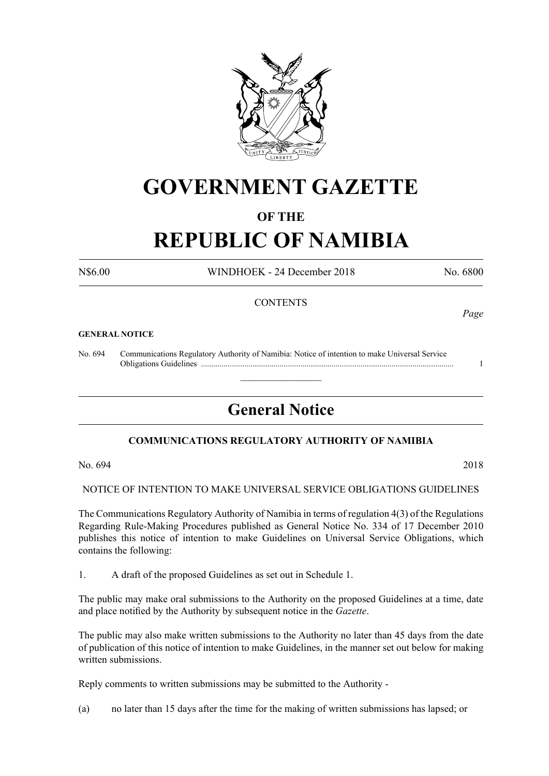

# **GOVERNMENT GAZETTE**

# **OF THE**

# **REPUBLIC OF NAMIBIA**

N\$6.00 WINDHOEK - 24 December 2018 No. 6800

# **CONTENTS**

#### **GENERAL NOTICE**

No. 694 Communications Regulatory Authority of Namibia: Notice of intention to make Universal Service Obligations Guidelines .......................................................................................................................... 1

# **General Notice**

 $\overline{\phantom{a}}$  , where  $\overline{\phantom{a}}$ 

# **COMMUNICATIONS REGULATORY AUTHORITY OF NAMIBIA**

No. 694 2018

NOTICE OF INTENTION TO MAKE UNIVERSAL SERVICE OBLIGATIONS GUIDELINES

The Communications Regulatory Authority of Namibia in terms of regulation 4(3) of the Regulations Regarding Rule-Making Procedures published as General Notice No. 334 of 17 December 2010 publishes this notice of intention to make Guidelines on Universal Service Obligations, which contains the following:

1. A draft of the proposed Guidelines as set out in Schedule 1.

The public may make oral submissions to the Authority on the proposed Guidelines at a time, date and place notified by the Authority by subsequent notice in the *Gazette*.

The public may also make written submissions to the Authority no later than 45 days from the date of publication of this notice of intention to make Guidelines, in the manner set out below for making written submissions.

Reply comments to written submissions may be submitted to the Authority -

(a) no later than 15 days after the time for the making of written submissions has lapsed; or

*Page*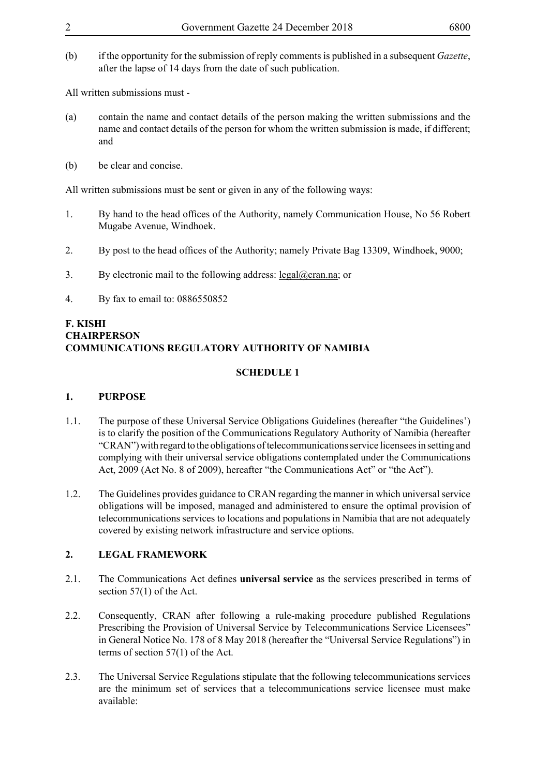(b) if the opportunity for the submission of reply comments is published in a subsequent *Gazette*, after the lapse of 14 days from the date of such publication.

All written submissions must -

- (a) contain the name and contact details of the person making the written submissions and the name and contact details of the person for whom the written submission is made, if different; and
- (b) be clear and concise.

All written submissions must be sent or given in any of the following ways:

- 1. By hand to the head offices of the Authority, namely Communication House, No 56 Robert Mugabe Avenue, Windhoek.
- 2. By post to the head offices of the Authority; namely Private Bag 13309, Windhoek, 9000;
- 3. By electronic mail to the following address:  $\text{legal}(\partial \text{cran}.\text{na})$ ; or
- 4. By fax to email to: 0886550852

### **F. KISHI CHAIRPERSON COMMUNICATIONS REGULATORY AUTHORITY OF NAMIBIA**

# **SCHEDULE 1**

# **1. PURPOSE**

- 1.1. The purpose of these Universal Service Obligations Guidelines (hereafter "the Guidelines') is to clarify the position of the Communications Regulatory Authority of Namibia (hereafter "CRAN") with regard to the obligations of telecommunications service licensees in setting and complying with their universal service obligations contemplated under the Communications Act, 2009 (Act No. 8 of 2009), hereafter "the Communications Act" or "the Act").
- 1.2. The Guidelines provides guidance to CRAN regarding the manner in which universal service obligations will be imposed, managed and administered to ensure the optimal provision of telecommunications services to locations and populations in Namibia that are not adequately covered by existing network infrastructure and service options.

# **2. LEGAL FRAMEWORK**

- 2.1. The Communications Act defines **universal service** as the services prescribed in terms of section 57(1) of the Act.
- 2.2. Consequently, CRAN after following a rule-making procedure published Regulations Prescribing the Provision of Universal Service by Telecommunications Service Licensees" in General Notice No. 178 of 8 May 2018 (hereafter the "Universal Service Regulations") in terms of section 57(1) of the Act.
- 2.3. The Universal Service Regulations stipulate that the following telecommunications services are the minimum set of services that a telecommunications service licensee must make available: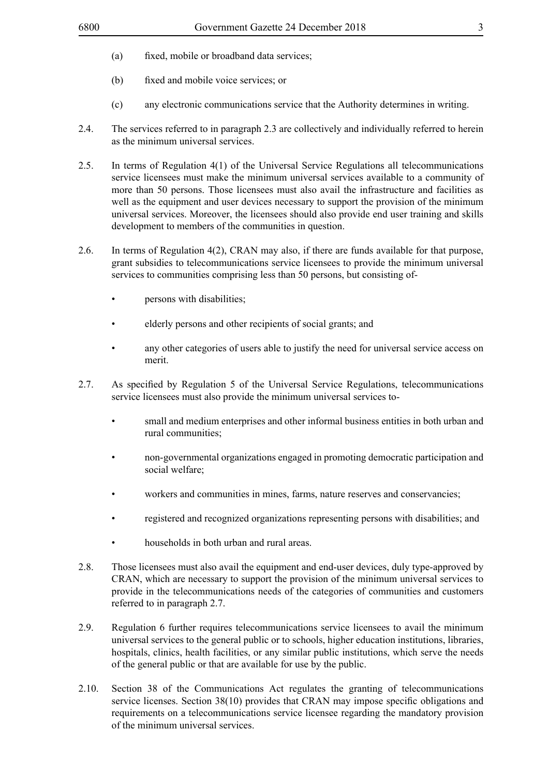- (a) fixed, mobile or broadband data services;
- (b) fixed and mobile voice services; or
- (c) any electronic communications service that the Authority determines in writing.
- 2.4. The services referred to in paragraph 2.3 are collectively and individually referred to herein as the minimum universal services.
- 2.5. In terms of Regulation 4(1) of the Universal Service Regulations all telecommunications service licensees must make the minimum universal services available to a community of more than 50 persons. Those licensees must also avail the infrastructure and facilities as well as the equipment and user devices necessary to support the provision of the minimum universal services. Moreover, the licensees should also provide end user training and skills development to members of the communities in question.
- 2.6. In terms of Regulation 4(2), CRAN may also, if there are funds available for that purpose, grant subsidies to telecommunications service licensees to provide the minimum universal services to communities comprising less than 50 persons, but consisting of-
	- persons with disabilities;
	- elderly persons and other recipients of social grants; and
	- any other categories of users able to justify the need for universal service access on merit.
- 2.7. As specified by Regulation 5 of the Universal Service Regulations, telecommunications service licensees must also provide the minimum universal services to-
	- small and medium enterprises and other informal business entities in both urban and rural communities;
	- non-governmental organizations engaged in promoting democratic participation and social welfare;
	- workers and communities in mines, farms, nature reserves and conservancies;
	- registered and recognized organizations representing persons with disabilities; and
	- households in both urban and rural areas.
- 2.8. Those licensees must also avail the equipment and end-user devices, duly type-approved by CRAN, which are necessary to support the provision of the minimum universal services to provide in the telecommunications needs of the categories of communities and customers referred to in paragraph 2.7.
- 2.9. Regulation 6 further requires telecommunications service licensees to avail the minimum universal services to the general public or to schools, higher education institutions, libraries, hospitals, clinics, health facilities, or any similar public institutions, which serve the needs of the general public or that are available for use by the public.
- 2.10. Section 38 of the Communications Act regulates the granting of telecommunications service licenses. Section 38(10) provides that CRAN may impose specific obligations and requirements on a telecommunications service licensee regarding the mandatory provision of the minimum universal services.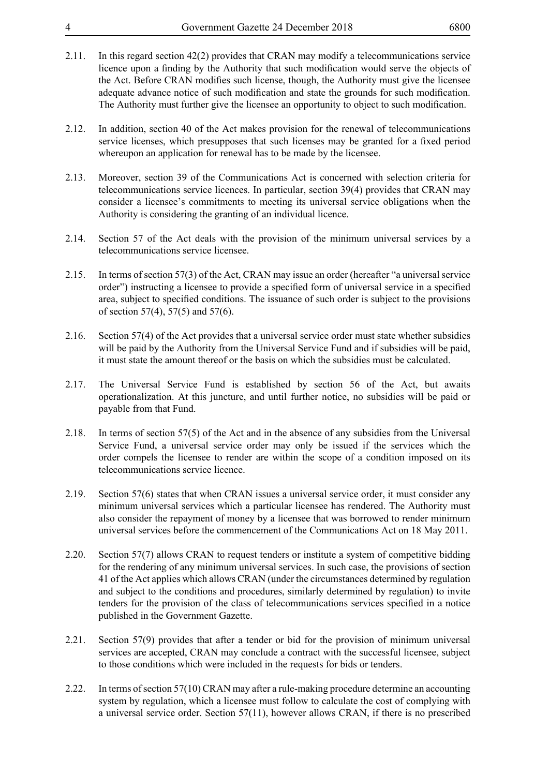- 
- 2.11. In this regard section 42(2) provides that CRAN may modify a telecommunications service licence upon a finding by the Authority that such modification would serve the objects of the Act. Before CRAN modifies such license, though, the Authority must give the licensee adequate advance notice of such modification and state the grounds for such modification. The Authority must further give the licensee an opportunity to object to such modification.
- 2.12. In addition, section 40 of the Act makes provision for the renewal of telecommunications service licenses, which presupposes that such licenses may be granted for a fixed period whereupon an application for renewal has to be made by the licensee.
- 2.13. Moreover, section 39 of the Communications Act is concerned with selection criteria for telecommunications service licences. In particular, section 39(4) provides that CRAN may consider a licensee's commitments to meeting its universal service obligations when the Authority is considering the granting of an individual licence.
- 2.14. Section 57 of the Act deals with the provision of the minimum universal services by a telecommunications service licensee.
- 2.15. In terms of section 57(3) of the Act, CRAN may issue an order (hereafter "a universal service order") instructing a licensee to provide a specified form of universal service in a specified area, subject to specified conditions. The issuance of such order is subject to the provisions of section 57(4), 57(5) and 57(6).
- 2.16. Section 57(4) of the Act provides that a universal service order must state whether subsidies will be paid by the Authority from the Universal Service Fund and if subsidies will be paid, it must state the amount thereof or the basis on which the subsidies must be calculated.
- 2.17. The Universal Service Fund is established by section 56 of the Act, but awaits operationalization. At this juncture, and until further notice, no subsidies will be paid or payable from that Fund.
- 2.18. In terms of section 57(5) of the Act and in the absence of any subsidies from the Universal Service Fund, a universal service order may only be issued if the services which the order compels the licensee to render are within the scope of a condition imposed on its telecommunications service licence.
- 2.19. Section 57(6) states that when CRAN issues a universal service order, it must consider any minimum universal services which a particular licensee has rendered. The Authority must also consider the repayment of money by a licensee that was borrowed to render minimum universal services before the commencement of the Communications Act on 18 May 2011.
- 2.20. Section 57(7) allows CRAN to request tenders or institute a system of competitive bidding for the rendering of any minimum universal services. In such case, the provisions of section 41 of the Act applies which allows CRAN (under the circumstances determined by regulation and subject to the conditions and procedures, similarly determined by regulation) to invite tenders for the provision of the class of telecommunications services specified in a notice published in the Government Gazette.
- 2.21. Section 57(9) provides that after a tender or bid for the provision of minimum universal services are accepted, CRAN may conclude a contract with the successful licensee, subject to those conditions which were included in the requests for bids or tenders.
- 2.22. In terms of section 57(10) CRAN may after a rule-making procedure determine an accounting system by regulation, which a licensee must follow to calculate the cost of complying with a universal service order. Section 57(11), however allows CRAN, if there is no prescribed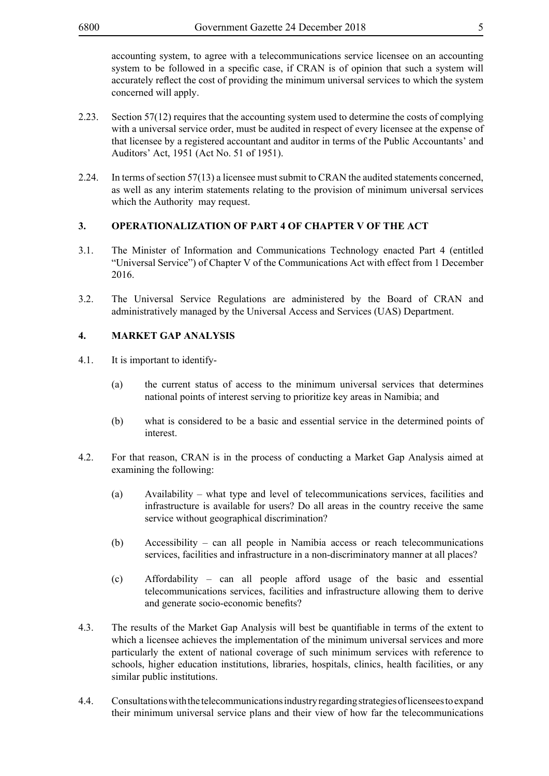accounting system, to agree with a telecommunications service licensee on an accounting system to be followed in a specific case, if CRAN is of opinion that such a system will accurately reflect the cost of providing the minimum universal services to which the system concerned will apply.

- 2.23. Section 57(12) requires that the accounting system used to determine the costs of complying with a universal service order, must be audited in respect of every licensee at the expense of that licensee by a registered accountant and auditor in terms of the Public Accountants' and Auditors' Act, 1951 (Act No. 51 of 1951).
- 2.24. In terms of section 57(13) a licensee must submit to CRAN the audited statements concerned, as well as any interim statements relating to the provision of minimum universal services which the Authority may request.

# **3. OPERATIONALIZATION OF PART 4 OF CHAPTER V OF THE ACT**

- 3.1. The Minister of Information and Communications Technology enacted Part 4 (entitled "Universal Service") of Chapter V of the Communications Act with effect from 1 December 2016.
- 3.2. The Universal Service Regulations are administered by the Board of CRAN and administratively managed by the Universal Access and Services (UAS) Department.

# **4. MARKET GAP ANALYSIS**

- 4.1. It is important to identify-
	- (a) the current status of access to the minimum universal services that determines national points of interest serving to prioritize key areas in Namibia; and
	- (b) what is considered to be a basic and essential service in the determined points of interest.
- 4.2. For that reason, CRAN is in the process of conducting a Market Gap Analysis aimed at examining the following:
	- (a) Availability what type and level of telecommunications services, facilities and infrastructure is available for users? Do all areas in the country receive the same service without geographical discrimination?
	- (b) Accessibility can all people in Namibia access or reach telecommunications services, facilities and infrastructure in a non-discriminatory manner at all places?
	- (c) Affordability can all people afford usage of the basic and essential telecommunications services, facilities and infrastructure allowing them to derive and generate socio-economic benefits?
- 4.3. The results of the Market Gap Analysis will best be quantifiable in terms of the extent to which a licensee achieves the implementation of the minimum universal services and more particularly the extent of national coverage of such minimum services with reference to schools, higher education institutions, libraries, hospitals, clinics, health facilities, or any similar public institutions.
- 4.4. Consultations with the telecommunications industry regarding strategies of licensees to expand their minimum universal service plans and their view of how far the telecommunications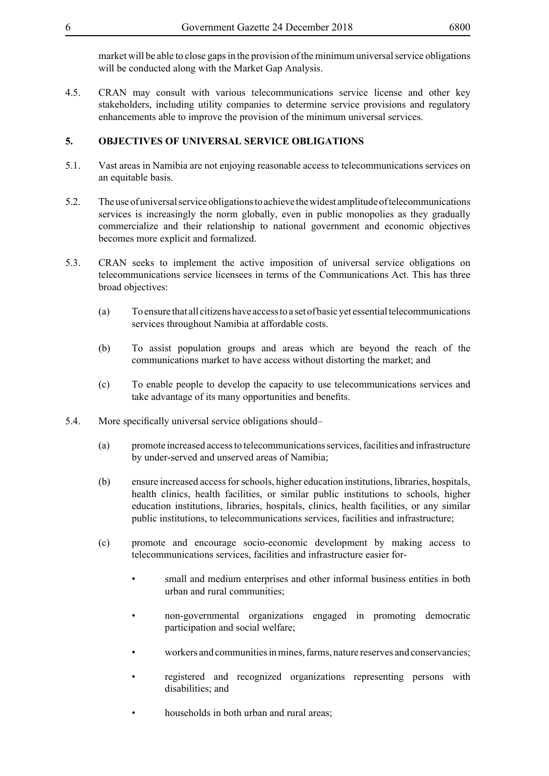market will be able to close gaps in the provision of the minimum universal service obligations will be conducted along with the Market Gap Analysis.

4.5. CRAN may consult with various telecommunications service license and other key stakeholders, including utility companies to determine service provisions and regulatory enhancements able to improve the provision of the minimum universal services.

## **5. OBJECTIVES OF UNIVERSAL SERVICE OBLIGATIONS**

- 5.1. Vast areas in Namibia are not enjoying reasonable access to telecommunications services on an equitable basis.
- 5.2. The use of universal service obligations to achieve the widest amplitude of telecommunications services is increasingly the norm globally, even in public monopolies as they gradually commercialize and their relationship to national government and economic objectives becomes more explicit and formalized.
- 5.3. CRAN seeks to implement the active imposition of universal service obligations on telecommunications service licensees in terms of the Communications Act. This has three broad objectives:
	- (a) To ensure that all citizens have access to a set of basic yet essential telecommunications services throughout Namibia at affordable costs.
	- (b) To assist population groups and areas which are beyond the reach of the communications market to have access without distorting the market; and
	- (c) To enable people to develop the capacity to use telecommunications services and take advantage of its many opportunities and benefits.
- 5.4. More specifically universal service obligations should–
	- (a) promote increased access to telecommunications services, facilities and infrastructure by under-served and unserved areas of Namibia;
	- (b) ensure increased access for schools, higher education institutions, libraries, hospitals, health clinics, health facilities, or similar public institutions to schools, higher education institutions, libraries, hospitals, clinics, health facilities, or any similar public institutions, to telecommunications services, facilities and infrastructure;
	- (c) promote and encourage socio-economic development by making access to telecommunications services, facilities and infrastructure easier for
		- small and medium enterprises and other informal business entities in both urban and rural communities;
		- non-governmental organizations engaged in promoting democratic participation and social welfare;
		- workers and communities in mines, farms, nature reserves and conservancies;
		- registered and recognized organizations representing persons with disabilities; and
		- households in both urban and rural areas;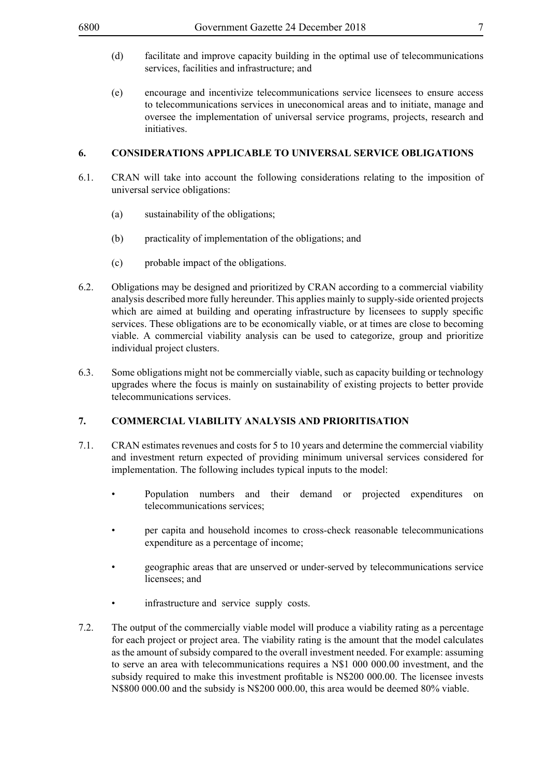- (d) facilitate and improve capacity building in the optimal use of telecommunications services, facilities and infrastructure; and
- (e) encourage and incentivize telecommunications service licensees to ensure access to telecommunications services in uneconomical areas and to initiate, manage and oversee the implementation of universal service programs, projects, research and initiatives.

#### **6. CONSIDERATIONS APPLICABLE TO UNIVERSAL SERVICE OBLIGATIONS**

- 6.1. CRAN will take into account the following considerations relating to the imposition of universal service obligations:
	- (a) sustainability of the obligations;
	- (b) practicality of implementation of the obligations; and
	- (c) probable impact of the obligations.
- 6.2. Obligations may be designed and prioritized by CRAN according to a commercial viability analysis described more fully hereunder. This applies mainly to supply-side oriented projects which are aimed at building and operating infrastructure by licensees to supply specific services. These obligations are to be economically viable, or at times are close to becoming viable. A commercial viability analysis can be used to categorize, group and prioritize individual project clusters.
- 6.3. Some obligations might not be commercially viable, such as capacity building or technology upgrades where the focus is mainly on sustainability of existing projects to better provide telecommunications services.

# **7. COMMERCIAL VIABILITY ANALYSIS AND PRIORITISATION**

- 7.1. CRAN estimates revenues and costs for 5 to 10 years and determine the commercial viability and investment return expected of providing minimum universal services considered for implementation. The following includes typical inputs to the model:
	- Population numbers and their demand or projected expenditures on telecommunications services;
	- per capita and household incomes to cross-check reasonable telecommunications expenditure as a percentage of income;
	- geographic areas that are unserved or under-served by telecommunications service licensees; and
	- infrastructure and service supply costs.
- 7.2. The output of the commercially viable model will produce a viability rating as a percentage for each project or project area. The viability rating is the amount that the model calculates as the amount of subsidy compared to the overall investment needed. For example: assuming to serve an area with telecommunications requires a N\$1 000 000.00 investment, and the subsidy required to make this investment profitable is N\$200 000.00. The licensee invests N\$800 000.00 and the subsidy is N\$200 000.00, this area would be deemed 80% viable.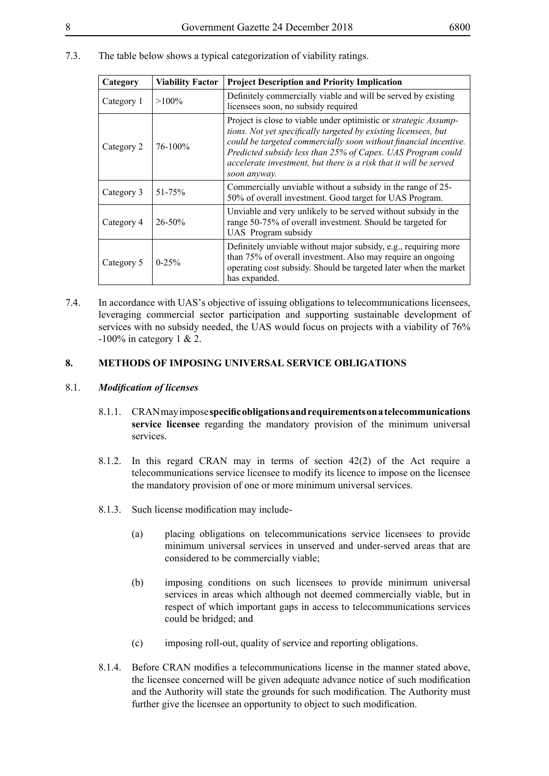7.3. The table below shows a typical categorization of viability ratings.

| Category   | <b>Viability Factor</b> | <b>Project Description and Priority Implication</b>                                                                                                                                                                                                                                                                                                               |
|------------|-------------------------|-------------------------------------------------------------------------------------------------------------------------------------------------------------------------------------------------------------------------------------------------------------------------------------------------------------------------------------------------------------------|
| Category 1 | $>100\%$                | Definitely commercially viable and will be served by existing<br>licensees soon, no subsidy required                                                                                                                                                                                                                                                              |
| Category 2 | $76 - 100\%$            | Project is close to viable under optimistic or <i>strategic Assump</i><br>tions. Not yet specifically targeted by existing licensees, but<br>could be targeted commercially soon without financial incentive.<br>Predicted subsidy less than 25% of Capex. UAS Program could<br>accelerate investment, but there is a risk that it will be served<br>soon anyway. |
| Category 3 | $51 - 75%$              | Commercially unviable without a subsidy in the range of 25-<br>50% of overall investment. Good target for UAS Program.                                                                                                                                                                                                                                            |
| Category 4 | $26 - 50\%$             | Unviable and very unlikely to be served without subsidy in the<br>range 50-75% of overall investment. Should be targeted for<br>UAS Program subsidy                                                                                                                                                                                                               |
| Category 5 | $0-25%$                 | Definitely unviable without major subsidy, e.g., requiring more<br>than 75% of overall investment. Also may require an ongoing<br>operating cost subsidy. Should be targeted later when the market<br>has expanded.                                                                                                                                               |

7.4. In accordance with UAS's objective of issuing obligations to telecommunications licensees, leveraging commercial sector participation and supporting sustainable development of services with no subsidy needed, the UAS would focus on projects with a viability of 76%  $-100\%$  in category 1 & 2.

### **8. METHODS OF IMPOSING UNIVERSAL SERVICE OBLIGATIONS**

#### 8.1. *Modification of licenses*

- 8.1.1. CRAN may impose **specific obligations and requirements on a telecommunications service licensee** regarding the mandatory provision of the minimum universal services.
- 8.1.2. In this regard CRAN may in terms of section 42(2) of the Act require a telecommunications service licensee to modify its licence to impose on the licensee the mandatory provision of one or more minimum universal services.
- 8.1.3. Such license modification may include-
	- (a) placing obligations on telecommunications service licensees to provide minimum universal services in unserved and under-served areas that are considered to be commercially viable;
	- (b) imposing conditions on such licensees to provide minimum universal services in areas which although not deemed commercially viable, but in respect of which important gaps in access to telecommunications services could be bridged; and
	- (c) imposing roll-out, quality of service and reporting obligations.
- 8.1.4. Before CRAN modifies a telecommunications license in the manner stated above, the licensee concerned will be given adequate advance notice of such modification and the Authority will state the grounds for such modification. The Authority must further give the licensee an opportunity to object to such modification.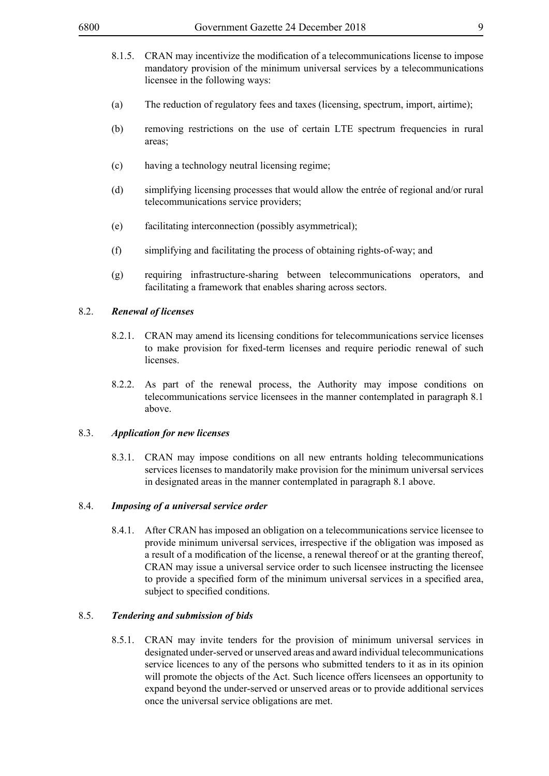- 8.1.5. CRAN may incentivize the modification of a telecommunications license to impose mandatory provision of the minimum universal services by a telecommunications licensee in the following ways:
- (a) The reduction of regulatory fees and taxes (licensing, spectrum, import, airtime);
- (b) removing restrictions on the use of certain LTE spectrum frequencies in rural areas;
- (c) having a technology neutral licensing regime;
- (d) simplifying licensing processes that would allow the entrée of regional and/or rural telecommunications service providers;
- (e) facilitating interconnection (possibly asymmetrical);
- (f) simplifying and facilitating the process of obtaining rights-of-way; and
- (g) requiring infrastructure-sharing between telecommunications operators, and facilitating a framework that enables sharing across sectors.

#### 8.2. *Renewal of licenses*

- 8.2.1. CRAN may amend its licensing conditions for telecommunications service licenses to make provision for fixed-term licenses and require periodic renewal of such licenses.
- 8.2.2. As part of the renewal process, the Authority may impose conditions on telecommunications service licensees in the manner contemplated in paragraph 8.1 above.

#### 8.3. *Application for new licenses*

8.3.1. CRAN may impose conditions on all new entrants holding telecommunications services licenses to mandatorily make provision for the minimum universal services in designated areas in the manner contemplated in paragraph 8.1 above.

#### 8.4. *Imposing of a universal service order*

8.4.1. After CRAN has imposed an obligation on a telecommunications service licensee to provide minimum universal services, irrespective if the obligation was imposed as a result of a modification of the license, a renewal thereof or at the granting thereof, CRAN may issue a universal service order to such licensee instructing the licensee to provide a specified form of the minimum universal services in a specified area, subject to specified conditions.

#### 8.5. *Tendering and submission of bids*

8.5.1. CRAN may invite tenders for the provision of minimum universal services in designated under-served or unserved areas and award individual telecommunications service licences to any of the persons who submitted tenders to it as in its opinion will promote the objects of the Act. Such licence offers licensees an opportunity to expand beyond the under-served or unserved areas or to provide additional services once the universal service obligations are met.